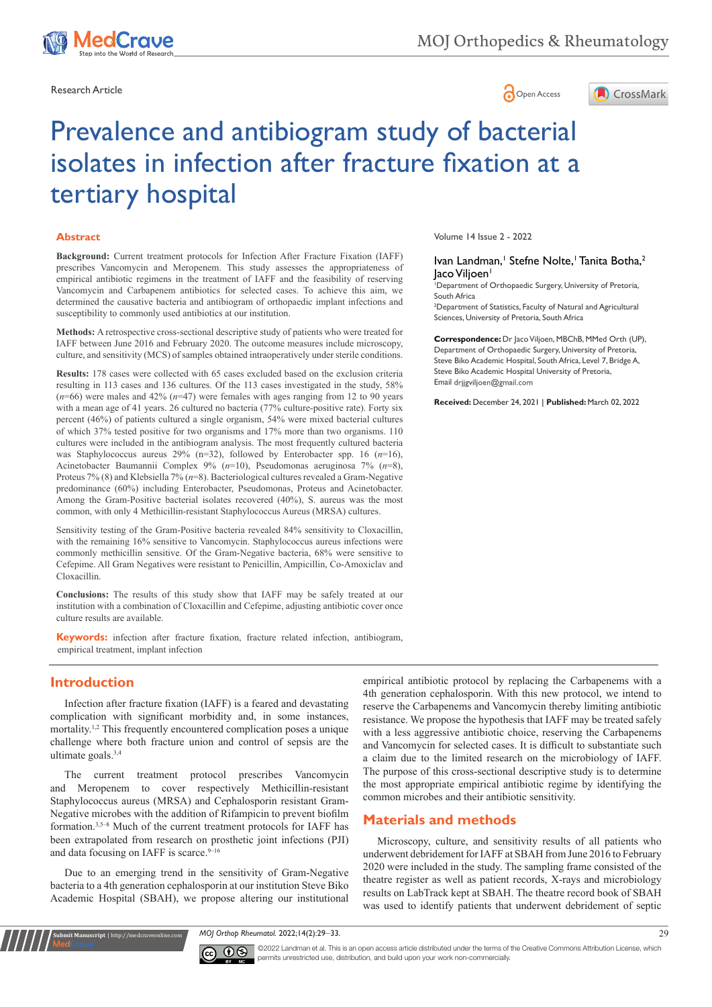





# Prevalence and antibiogram study of bacterial isolates in infection after fracture fixation at a tertiary hospital

#### **Abstract**

**Background:** Current treatment protocols for Infection After Fracture Fixation (IAFF) prescribes Vancomycin and Meropenem. This study assesses the appropriateness of empirical antibiotic regimens in the treatment of IAFF and the feasibility of reserving Vancomycin and Carbapenem antibiotics for selected cases. To achieve this aim, we determined the causative bacteria and antibiogram of orthopaedic implant infections and susceptibility to commonly used antibiotics at our institution.

**Methods:** A retrospective cross-sectional descriptive study of patients who were treated for IAFF between June 2016 and February 2020. The outcome measures include microscopy, culture, and sensitivity (MCS) of samples obtained intraoperatively under sterile conditions.

**Results:** 178 cases were collected with 65 cases excluded based on the exclusion criteria resulting in 113 cases and 136 cultures. Of the 113 cases investigated in the study, 58% (*n*=66) were males and 42% (*n*=47) were females with ages ranging from 12 to 90 years with a mean age of 41 years. 26 cultured no bacteria (77% culture-positive rate). Forty six percent (46%) of patients cultured a single organism, 54% were mixed bacterial cultures of which 37% tested positive for two organisms and 17% more than two organisms. 110 cultures were included in the antibiogram analysis. The most frequently cultured bacteria was Staphylococcus aureus 29% (n=32), followed by Enterobacter spp. 16 (*n*=16), Acinetobacter Baumannii Complex 9% (*n*=10), Pseudomonas aeruginosa 7% (*n*=8), Proteus 7% (8) and Klebsiella 7% (*n*=8). Bacteriological cultures revealed a Gram-Negative predominance (60%) including Enterobacter, Pseudomonas, Proteus and Acinetobacter. Among the Gram-Positive bacterial isolates recovered (40%), S. aureus was the most common, with only 4 Methicillin-resistant Staphylococcus Aureus (MRSA) cultures.

Sensitivity testing of the Gram-Positive bacteria revealed 84% sensitivity to Cloxacillin, with the remaining 16% sensitive to Vancomycin. Staphylococcus aureus infections were commonly methicillin sensitive. Of the Gram-Negative bacteria, 68% were sensitive to Cefepime. All Gram Negatives were resistant to Penicillin, Ampicillin, Co-Amoxiclav and Cloxacillin.

**Conclusions:** The results of this study show that IAFF may be safely treated at our institution with a combination of Cloxacillin and Cefepime, adjusting antibiotic cover once culture results are available.

**Keywords:** infection after fracture fixation, fracture related infection, antibiogram, empirical treatment, implant infection

## **Introduction**

**it Manuscript** | http://medcraveonline.c

Infection after fracture fixation (IAFF) is a feared and devastating complication with significant morbidity and, in some instances, mortality.1,2 This frequently encountered complication poses a unique challenge where both fracture union and control of sepsis are the ultimate goals.3,4

The current treatment protocol prescribes Vancomycin and Meropenem to cover respectively Methicillin-resistant Staphylococcus aureus (MRSA) and Cephalosporin resistant Gram-Negative microbes with the addition of Rifampicin to prevent biofilm formation.3,5–8 Much of the current treatment protocols for IAFF has been extrapolated from research on prosthetic joint infections (PJI) and data focusing on IAFF is scarce. $9-16$ 

Due to an emerging trend in the sensitivity of Gram-Negative bacteria to a 4th generation cephalosporin at our institution Steve Biko Academic Hospital (SBAH), we propose altering our institutional

Volume 14 Issue 2 - 2022

#### Ivan Landman,<sup>1</sup> Stefne Nolte,<sup>1</sup> Tanita Botha,<sup>2</sup> laco Viljoen<sup>1</sup>

1 Department of Orthopaedic Surgery, University of Pretoria, South Africa

2 Department of Statistics, Faculty of Natural and Agricultural Sciences, University of Pretoria, South Africa

**Correspondence:** Dr Jaco Viljoen, MBChB, MMed Orth (UP), Department of Orthopaedic Surgery, University of Pretoria, Steve Biko Academic Hospital, South Africa, Level 7, Bridge A, Steve Biko Academic Hospital University of Pretoria, Email drjjgviljoen@gmail.com

**Received:** December 24, 2021 | **Published:** March 02, 2022

empirical antibiotic protocol by replacing the Carbapenems with a 4th generation cephalosporin. With this new protocol, we intend to reserve the Carbapenems and Vancomycin thereby limiting antibiotic resistance. We propose the hypothesis that IAFF may be treated safely with a less aggressive antibiotic choice, reserving the Carbapenems and Vancomycin for selected cases. It is difficult to substantiate such a claim due to the limited research on the microbiology of IAFF. The purpose of this cross-sectional descriptive study is to determine the most appropriate empirical antibiotic regime by identifying the common microbes and their antibiotic sensitivity.

## **Materials and methods**

Microscopy, culture, and sensitivity results of all patients who underwent debridement for IAFF at SBAH from June 2016 to February 2020 were included in the study. The sampling frame consisted of the theatre register as well as patient records, X-rays and microbiology results on LabTrack kept at SBAH. The theatre record book of SBAH was used to identify patients that underwent debridement of septic

*MOJ Orthop Rheumatol.* 2022;14(2):29‒33. 29



©2022 Landman et al. This is an open access article distributed under the terms of the [Creative Commons Attribution License,](https://creativecommons.org/licenses/by-nc/4.0/) which permits unrestricted use, distribution, and build upon your work non-commercially.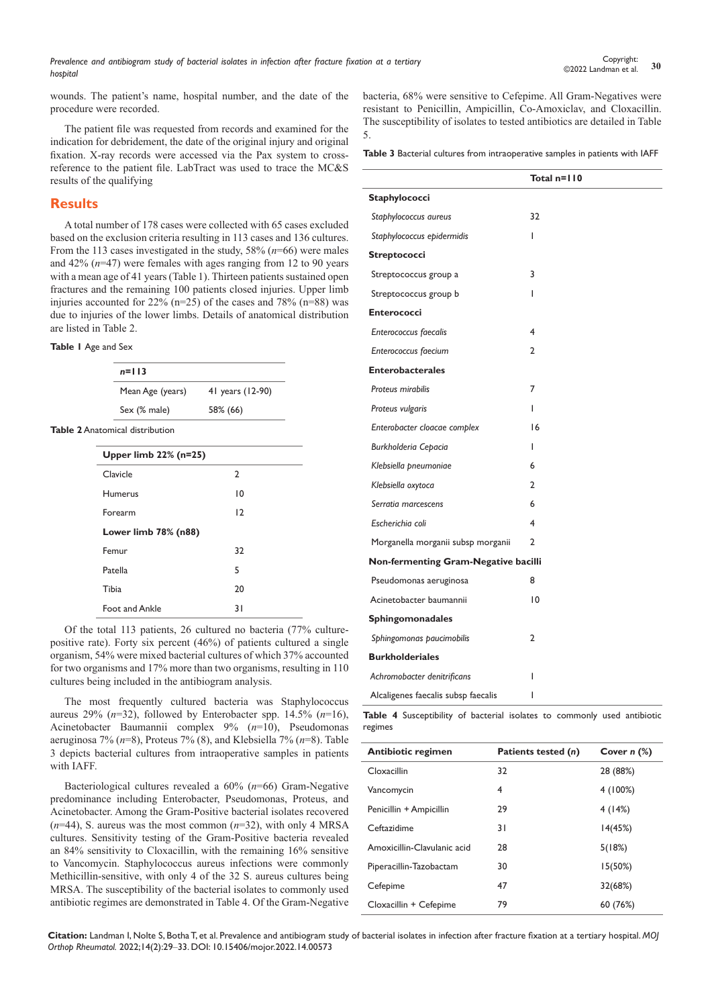*Prevalence and antibiogram study of bacterial isolates in infection after fracture fixation at a tertiary hospital*

wounds. The patient's name, hospital number, and the date of the procedure were recorded.

The patient file was requested from records and examined for the indication for debridement, the date of the original injury and original fixation. X-ray records were accessed via the Pax system to crossreference to the patient file. LabTract was used to trace the MC&S results of the qualifying

# **Results**

A total number of 178 cases were collected with 65 cases excluded based on the exclusion criteria resulting in 113 cases and 136 cultures. From the 113 cases investigated in the study, 58% (*n*=66) were males and 42% (*n*=47) were females with ages ranging from 12 to 90 years with a mean age of 41 years (Table 1). Thirteen patients sustained open fractures and the remaining 100 patients closed injuries. Upper limb injuries accounted for  $22\%$  (n=25) of the cases and 78% (n=88) was due to injuries of the lower limbs. Details of anatomical distribution are listed in Table 2.

#### **Table 1** Age and Sex

| $n = 113$        |                  |
|------------------|------------------|
| Mean Age (years) | 41 years (12-90) |
| Sex (% male)     | 58% (66)         |

**Table 2** Anatomical distribution

| Upper limb $22\%$ (n=25) |    |  |  |  |
|--------------------------|----|--|--|--|
| Clavicle                 | 2  |  |  |  |
| Humerus                  | 10 |  |  |  |
| Forearm                  | 12 |  |  |  |
| Lower limb 78% (n88)     |    |  |  |  |
| Femur                    | 32 |  |  |  |
| Patella                  | 5  |  |  |  |
| Tibia                    | 20 |  |  |  |
| <b>Foot and Ankle</b>    | 31 |  |  |  |

Of the total 113 patients, 26 cultured no bacteria (77% culturepositive rate). Forty six percent (46%) of patients cultured a single organism, 54% were mixed bacterial cultures of which 37% accounted for two organisms and 17% more than two organisms, resulting in 110 cultures being included in the antibiogram analysis.

The most frequently cultured bacteria was Staphylococcus aureus 29%  $(n=32)$ , followed by Enterobacter spp. 14.5%  $(n=16)$ , Acinetobacter Baumannii complex 9% (*n*=10), Pseudomonas aeruginosa 7% (*n*=8), Proteus 7% (8), and Klebsiella 7% (*n*=8). Table 3 depicts bacterial cultures from intraoperative samples in patients with IAFF.

Bacteriological cultures revealed a 60% (*n*=66) Gram-Negative predominance including Enterobacter, Pseudomonas, Proteus, and Acinetobacter. Among the Gram-Positive bacterial isolates recovered (*n*=44), S. aureus was the most common (*n*=32), with only 4 MRSA cultures. Sensitivity testing of the Gram-Positive bacteria revealed an 84% sensitivity to Cloxacillin, with the remaining 16% sensitive to Vancomycin. Staphylococcus aureus infections were commonly Methicillin-sensitive, with only 4 of the 32 S. aureus cultures being MRSA. The susceptibility of the bacterial isolates to commonly used antibiotic regimes are demonstrated in Table 4. Of the Gram-Negative

bacteria, 68% were sensitive to Cefepime. All Gram-Negatives were resistant to Penicillin, Ampicillin, Co-Amoxiclav, and Cloxacillin. The susceptibility of isolates to tested antibiotics are detailed in Table 5.

**Table 3** Bacterial cultures from intraoperative samples in patients with IAFF

|                                      | Total $n=110$ |  |  |  |
|--------------------------------------|---------------|--|--|--|
| <b>Staphylococci</b>                 |               |  |  |  |
| Staphylococcus aureus                | 32            |  |  |  |
| Staphylococcus epidermidis           | I             |  |  |  |
| <b>Streptococci</b>                  |               |  |  |  |
| Streptococcus group a                | 3             |  |  |  |
| Streptococcus group b                | I             |  |  |  |
| <b>Enterococci</b>                   |               |  |  |  |
| Enterococcus faecalis                | 4             |  |  |  |
| Enterococcus faecium                 | 2             |  |  |  |
| <b>Enterobacterales</b>              |               |  |  |  |
| Proteus mirabilis                    | 7             |  |  |  |
| Proteus vulgaris                     | L             |  |  |  |
| Enterobacter cloacae complex         | 16            |  |  |  |
| Burkholderia Cepacia                 | I             |  |  |  |
| Klebsiella pneumoniae                | 6             |  |  |  |
| Klebsiella oxytoca                   | 2             |  |  |  |
| Serratia marcescens                  | 6             |  |  |  |
| Escherichia coli                     | 4             |  |  |  |
| Morganella morganii subsp morganii   | 2             |  |  |  |
| Non-fermenting Gram-Negative bacilli |               |  |  |  |
| Pseudomonas aeruginosa               | 8             |  |  |  |
| Acinetobacter baumannii              | 10            |  |  |  |
| <b>Sphingomonadales</b>              |               |  |  |  |
| Sphingomonas paucimobilis            | 2             |  |  |  |
| <b>Burkholderiales</b>               |               |  |  |  |
| Achromobacter denitrificans          | I             |  |  |  |
| Alcaligenes faecalis subsp faecalis  | I             |  |  |  |

**Table 4** Susceptibility of bacterial isolates to commonly used antibiotic regimes

| Antibiotic regimen          | Patients tested (n) | Cover $n$ $%$ |
|-----------------------------|---------------------|---------------|
| Cloxacillin                 | 32                  | 28 (88%)      |
| Vancomycin                  | 4                   | 4(100%)       |
| Penicillin + Ampicillin     | 29                  | 4(14%)        |
| Ceftazidime                 | 31                  | 14(45%)       |
| Amoxicillin-Clavulanic acid | 28                  | 5(18%)        |
| Piperacillin-Tazobactam     | 30                  | 15(50%)       |
| Cefepime                    | 47                  | 32(68%)       |
| Cloxacillin + Cefepime      | 79                  | 60(76%)       |

**Citation:** Landman I, Nolte S, Botha T, et al. Prevalence and antibiogram study of bacterial isolates in infection after fracture fixation at a tertiary hospital. *MOJ Orthop Rheumatol.* 2022;14(2):29‒33. DOI: [10.15406/mojor.2022.14.00573](https://doi.org/10.15406/mojor.2022.14.00573)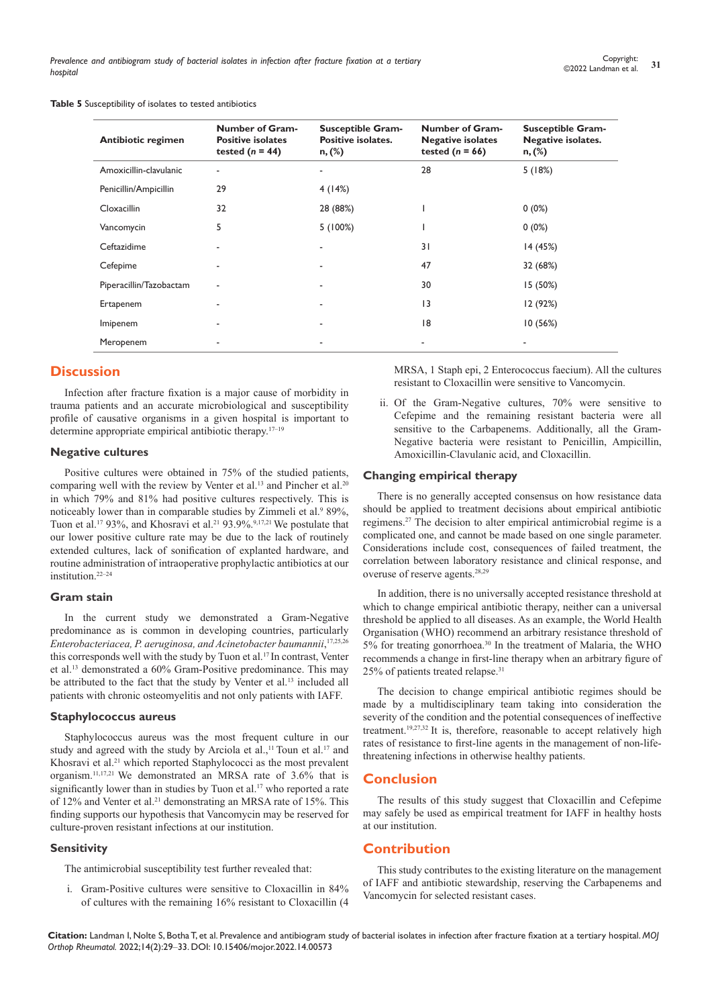**Table 5** Susceptibility of isolates to tested antibiotics

| <b>Antibiotic regimen</b> | <b>Number of Gram-</b><br><b>Positive isolates</b><br>tested $(n = 44)$ | <b>Susceptible Gram-</b><br>Positive isolates.<br>$n, (\%)$ | <b>Number of Gram-</b><br><b>Negative isolates</b><br>tested $(n = 66)$ | <b>Susceptible Gram-</b><br>Negative isolates.<br>$n, (\%)$ |
|---------------------------|-------------------------------------------------------------------------|-------------------------------------------------------------|-------------------------------------------------------------------------|-------------------------------------------------------------|
| Amoxicillin-clavulanic    |                                                                         | ٠                                                           | 28                                                                      | 5(18%)                                                      |
| Penicillin/Ampicillin     | 29                                                                      | 4(14%)                                                      |                                                                         |                                                             |
| <b>Cloxacillin</b>        | 32                                                                      | 28 (88%)                                                    |                                                                         | $0(0\%)$                                                    |
| Vancomycin                | 5                                                                       | $5(100\%)$                                                  |                                                                         | $0(0\%)$                                                    |
| Ceftazidime               |                                                                         | ٠                                                           | 31                                                                      | 14 (45%)                                                    |
| Cefepime                  |                                                                         |                                                             | 47                                                                      | 32 (68%)                                                    |
| Piperacillin/Tazobactam   |                                                                         |                                                             | 30                                                                      | 15 (50%)                                                    |
| Ertapenem                 |                                                                         |                                                             | 13                                                                      | 12 (92%)                                                    |
| Imipenem                  |                                                                         |                                                             | 18                                                                      | 10(56%)                                                     |
| Meropenem                 |                                                                         |                                                             |                                                                         |                                                             |

## **Discussion**

Infection after fracture fixation is a major cause of morbidity in trauma patients and an accurate microbiological and susceptibility profile of causative organisms in a given hospital is important to determine appropriate empirical antibiotic therapy.17–19

#### **Negative cultures**

Positive cultures were obtained in 75% of the studied patients, comparing well with the review by Venter et al.<sup>13</sup> and Pincher et al.<sup>20</sup> in which 79% and 81% had positive cultures respectively. This is noticeably lower than in comparable studies by Zimmeli et al.<sup>9</sup> 89%, Tuon et al.<sup>17</sup> 93%, and Khosravi et al.21 93.9%.9,17,21 We postulate that our lower positive culture rate may be due to the lack of routinely extended cultures, lack of sonification of explanted hardware, and routine administration of intraoperative prophylactic antibiotics at our institution.22–24

## **Gram stain**

In the current study we demonstrated a Gram-Negative predominance as is common in developing countries, particularly *Enterobacteriacea, P. aeruginosa, and Acinetobacter baumannii*, 17,25,26 this corresponds well with the study by Tuon et al.<sup>17</sup> In contrast, Venter et al.<sup>13</sup> demonstrated a 60% Gram-Positive predominance. This may be attributed to the fact that the study by Venter et al.<sup>13</sup> included all patients with chronic osteomyelitis and not only patients with IAFF.

#### **Staphylococcus aureus**

Staphylococcus aureus was the most frequent culture in our study and agreed with the study by Arciola et al.,<sup>11</sup> Toun et al.<sup>17</sup> and Khosravi et al.<sup>21</sup> which reported Staphylococci as the most prevalent organism.11,17,21 We demonstrated an MRSA rate of 3.6% that is significantly lower than in studies by Tuon et al.<sup>17</sup> who reported a rate of 12% and Venter et al.<sup>21</sup> demonstrating an MRSA rate of 15%. This finding supports our hypothesis that Vancomycin may be reserved for culture-proven resistant infections at our institution.

### **Sensitivity**

The antimicrobial susceptibility test further revealed that:

i. Gram-Positive cultures were sensitive to Cloxacillin in 84% of cultures with the remaining 16% resistant to Cloxacillin (4

MRSA, 1 Staph epi, 2 Enterococcus faecium). All the cultures resistant to Cloxacillin were sensitive to Vancomycin.

ii. Of the Gram-Negative cultures, 70% were sensitive to Cefepime and the remaining resistant bacteria were all sensitive to the Carbapenems. Additionally, all the Gram-Negative bacteria were resistant to Penicillin, Ampicillin, Amoxicillin-Clavulanic acid, and Cloxacillin.

## **Changing empirical therapy**

There is no generally accepted consensus on how resistance data should be applied to treatment decisions about empirical antibiotic regimens.27 The decision to alter empirical antimicrobial regime is a complicated one, and cannot be made based on one single parameter. Considerations include cost, consequences of failed treatment, the correlation between laboratory resistance and clinical response, and overuse of reserve agents.28,29

In addition, there is no universally accepted resistance threshold at which to change empirical antibiotic therapy, neither can a universal threshold be applied to all diseases. As an example, the World Health Organisation (WHO) recommend an arbitrary resistance threshold of 5% for treating gonorrhoea.30 In the treatment of Malaria, the WHO recommends a change in first-line therapy when an arbitrary figure of 25% of patients treated relapse.<sup>31</sup>

The decision to change empirical antibiotic regimes should be made by a multidisciplinary team taking into consideration the severity of the condition and the potential consequences of ineffective treatment.<sup>19,27,32</sup> It is, therefore, reasonable to accept relatively high rates of resistance to first-line agents in the management of non-lifethreatening infections in otherwise healthy patients.

## **Conclusion**

The results of this study suggest that Cloxacillin and Cefepime may safely be used as empirical treatment for IAFF in healthy hosts at our institution.

## **Contribution**

This study contributes to the existing literature on the management of IAFF and antibiotic stewardship, reserving the Carbapenems and Vancomycin for selected resistant cases.

**Citation:** Landman I, Nolte S, Botha T, et al. Prevalence and antibiogram study of bacterial isolates in infection after fracture fixation at a tertiary hospital. *MOJ Orthop Rheumatol.* 2022;14(2):29‒33. DOI: [10.15406/mojor.2022.14.00573](https://doi.org/10.15406/mojor.2022.14.00573)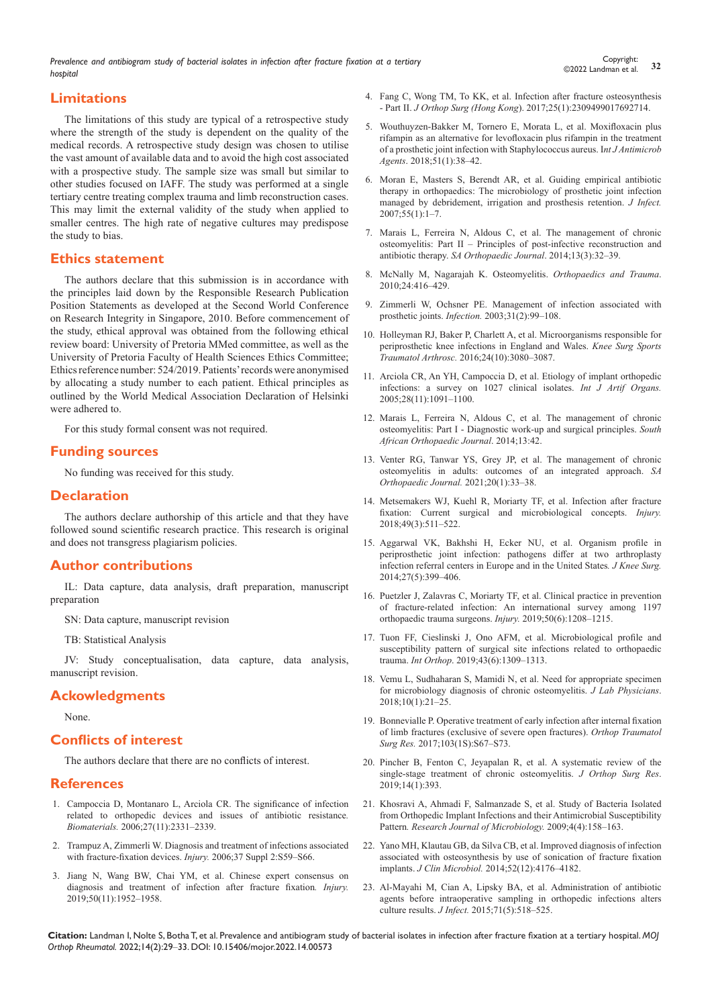*Prevalence and antibiogram study of bacterial isolates in infection after fracture fixation at a tertiary hospital*

# **Limitations**

The limitations of this study are typical of a retrospective study where the strength of the study is dependent on the quality of the medical records. A retrospective study design was chosen to utilise the vast amount of available data and to avoid the high cost associated with a prospective study. The sample size was small but similar to other studies focused on IAFF. The study was performed at a single tertiary centre treating complex trauma and limb reconstruction cases. This may limit the external validity of the study when applied to smaller centres. The high rate of negative cultures may predispose the study to bias.

## **Ethics statement**

The authors declare that this submission is in accordance with the principles laid down by the Responsible Research Publication Position Statements as developed at the Second World Conference on Research Integrity in Singapore, 2010. Before commencement of the study, ethical approval was obtained from the following ethical review board: University of Pretoria MMed committee, as well as the University of Pretoria Faculty of Health Sciences Ethics Committee; Ethics reference number: 524/2019. Patients' records were anonymised by allocating a study number to each patient. Ethical principles as outlined by the World Medical Association Declaration of Helsinki were adhered to.

For this study formal consent was not required.

## **Funding sources**

No funding was received for this study.

### **Declaration**

The authors declare authorship of this article and that they have followed sound scientific research practice. This research is original and does not transgress plagiarism policies.

## **Author contributions**

IL: Data capture, data analysis, draft preparation, manuscript preparation

SN: Data capture, manuscript revision

TB: Statistical Analysis

JV: Study conceptualisation, data capture, data analysis, manuscript revision.

# **Ackowledgments**

None.

## **Conflicts of interest**

The authors declare that there are no conflicts of interest.

### **References**

- 1. [Campoccia D, Montanaro L, Arciola CR. The significance of infection](https://pubmed.ncbi.nlm.nih.gov/16364434/)  [related to orthopedic devices and issues of antibiotic resistance](https://pubmed.ncbi.nlm.nih.gov/16364434/)*. Biomaterials.* [2006;27\(11\):2331–2339.](https://pubmed.ncbi.nlm.nih.gov/16364434/)
- 2. [Trampuz A, Zimmerli W. Diagnosis and treatment of infections associated](https://pubmed.ncbi.nlm.nih.gov/16651073/)  [with fracture-fixation devices.](https://pubmed.ncbi.nlm.nih.gov/16651073/) *Injury.* 2006;37 Suppl 2:S59–S66.
- 3. [Jiang N, Wang BW, Chai YM, et al. Chinese expert consensus on](https://pubmed.ncbi.nlm.nih.gov/31445830/)  [diagnosis and treatment of infection after fracture fixation](https://pubmed.ncbi.nlm.nih.gov/31445830/)*. Injury.* [2019;50\(11\):1952–1958.](https://pubmed.ncbi.nlm.nih.gov/31445830/)
- 4. [Fang C, Wong TM, To KK, et al. Infection after fracture osteosynthesis](https://pubmed.ncbi.nlm.nih.gov/28219306/)  - Part II. *J Orthop Surg (Hong Kong*[\). 2017;25\(1\):2309499017692714.](https://pubmed.ncbi.nlm.nih.gov/28219306/)
- 5. [Wouthuyzen-Bakker M, Tornero E, Morata L, et al. Moxifloxacin plus](https://pubmed.ncbi.nlm.nih.gov/28668678/)  [rifampin as an alternative for levofloxacin plus rifampin in the treatment](https://pubmed.ncbi.nlm.nih.gov/28668678/)  [of a prosthetic joint infection with Staphylococcus aureus. I](https://pubmed.ncbi.nlm.nih.gov/28668678/)*nt J Antimicrob Agents*[. 2018;51\(1\):38–42.](https://pubmed.ncbi.nlm.nih.gov/28668678/)
- 6. [Moran E, Masters S, Berendt AR, et al. Guiding empirical antibiotic](https://www.journalofinfection.com/article/S0163-4453(07)00019-9/fulltext)  [therapy in orthopaedics: The microbiology of prosthetic joint infection](https://www.journalofinfection.com/article/S0163-4453(07)00019-9/fulltext)  [managed by debridement, irrigation and prosthesis retention.](https://www.journalofinfection.com/article/S0163-4453(07)00019-9/fulltext) *J Infect.*  $2007;55(1):1-7.$
- 7. [Marais L, Ferreira N, Aldous C, et al. The management of chronic](http://www.scielo.org.za/scielo.php?script=sci_arttext&pid=S1681-150X2014000300005)  [osteomyelitis: Part II – Principles of post-infective reconstruction and](http://www.scielo.org.za/scielo.php?script=sci_arttext&pid=S1681-150X2014000300005)  antibiotic therapy. *[SA Orthopaedic Journal](http://www.scielo.org.za/scielo.php?script=sci_arttext&pid=S1681-150X2014000300005)*. 2014;13(3):32–39.
- 8. [McNally M, Nagarajah K. Osteomyelitis.](https://www.orthopaedicsandtraumajournal.co.uk/article/S1877-1327(10)00129-6/fulltext) *Orthopaedics and Trauma*. [2010;24:416–429.](https://www.orthopaedicsandtraumajournal.co.uk/article/S1877-1327(10)00129-6/fulltext)
- 9. [Zimmerli W, Ochsner PE. Management of infection associated with](https://pubmed.ncbi.nlm.nih.gov/12682815/)  prosthetic joints. *Infection.* [2003;31\(2\):99–108.](https://pubmed.ncbi.nlm.nih.gov/12682815/)
- 10. [Holleyman RJ, Baker P, Charlett A, et al. Microorganisms responsible for](https://pubmed.ncbi.nlm.nih.gov/25829328/)  [periprosthetic knee infections in England and Wales.](https://pubmed.ncbi.nlm.nih.gov/25829328/) *Knee Surg Sports Traumatol Arthrosc.* [2016;24\(10\):3080–3087.](https://pubmed.ncbi.nlm.nih.gov/25829328/)
- 11. [Arciola CR, An YH, Campoccia D, et al. Etiology of implant orthopedic](https://pubmed.ncbi.nlm.nih.gov/16353115/)  [infections: a survey on 1027 clinical isolates.](https://pubmed.ncbi.nlm.nih.gov/16353115/) *Int J Artif Organs.*  [2005;28\(11\):1091–1100.](https://pubmed.ncbi.nlm.nih.gov/16353115/)
- 12. [Marais L, Ferreira N, Aldous C, et al. The management of chronic](http://www.scielo.org.za/scielo.php?script=sci_arttext&pid=S1681-150X2014000200005)  [osteomyelitis: Part I - Diagnostic work-up and surgical principles.](http://www.scielo.org.za/scielo.php?script=sci_arttext&pid=S1681-150X2014000200005) *South [African Orthopaedic Journal](http://www.scielo.org.za/scielo.php?script=sci_arttext&pid=S1681-150X2014000200005)*. 2014;13:42.
- 13. [Venter RG, Tanwar YS, Grey JP, et al. The management of chronic](http://www.scielo.org.za/scielo.php?script=sci_arttext&pid=S1681-150X2021000100007)  [osteomyelitis in adults: outcomes of an integrated approach.](http://www.scielo.org.za/scielo.php?script=sci_arttext&pid=S1681-150X2021000100007) *SA [Orthopaedic Journal.](http://www.scielo.org.za/scielo.php?script=sci_arttext&pid=S1681-150X2021000100007)* 2021;20(1):33–38.
- 14. [Metsemakers WJ, Kuehl R, Moriarty TF, et al. Infection after fracture](https://pubmed.ncbi.nlm.nih.gov/27639601/)  [fixation: Current surgical and microbiological concepts.](https://pubmed.ncbi.nlm.nih.gov/27639601/) *Injury.* [2018;49\(3\):511–522.](https://pubmed.ncbi.nlm.nih.gov/27639601/)
- 15. [Aggarwal VK, Bakhshi H, Ecker NU, et al. Organism profile in](https://www.thieme-connect.com/products/ejournals/pdf/10.1055/s-0033-1364102.pdf)  [periprosthetic joint infection: pathogens differ at two arthroplasty](https://www.thieme-connect.com/products/ejournals/pdf/10.1055/s-0033-1364102.pdf)  [infection referral centers in Europe and in the United States](https://www.thieme-connect.com/products/ejournals/pdf/10.1055/s-0033-1364102.pdf)*. J Knee Surg.* [2014;27\(5\):399–406.](https://www.thieme-connect.com/products/ejournals/pdf/10.1055/s-0033-1364102.pdf)
- 16. [Puetzler J, Zalavras C, Moriarty TF, et al. Clinical practice in prevention](https://pubmed.ncbi.nlm.nih.gov/31029369/)  [of fracture-related infection: An international survey among 1197](https://pubmed.ncbi.nlm.nih.gov/31029369/)  [orthopaedic trauma surgeons.](https://pubmed.ncbi.nlm.nih.gov/31029369/) *Injury.* 2019;50(6):1208–1215.
- 17. [Tuon FF, Cieslinski J, Ono AFM, et al. Microbiological profile and](https://pubmed.ncbi.nlm.nih.gov/30069593/)  [susceptibility pattern of surgical site infections related to orthopaedic](https://pubmed.ncbi.nlm.nih.gov/30069593/)  trauma. *Int Orthop*[. 2019;43\(6\):1309–1313.](https://pubmed.ncbi.nlm.nih.gov/30069593/)
- 18. [Vemu L, Sudhaharan S, Mamidi N, et al. Need for appropriate specimen](https://pubmed.ncbi.nlm.nih.gov/29403199/)  [for microbiology diagnosis of chronic osteomyelitis.](https://pubmed.ncbi.nlm.nih.gov/29403199/) *J Lab Physicians*. [2018;10\(1\):21–25.](https://pubmed.ncbi.nlm.nih.gov/29403199/)
- 19. [Bonnevialle P. Operative treatment of early infection after internal fixation](https://pubmed.ncbi.nlm.nih.gov/28057476/)  [of limb fractures \(exclusive of severe open fractures\).](https://pubmed.ncbi.nlm.nih.gov/28057476/) *Orthop Traumatol Surg Res.* [2017;103\(1S\):S67–S73.](https://pubmed.ncbi.nlm.nih.gov/28057476/)
- 20. [Pincher B, Fenton C, Jeyapalan R, et al. A systematic review of the](https://josr-online.biomedcentral.com/articles/10.1186/s13018-019-1388-2)  [single-stage treatment of chronic osteomyelitis.](https://josr-online.biomedcentral.com/articles/10.1186/s13018-019-1388-2) *J Orthop Surg Res*. [2019;14\(1\):393.](https://josr-online.biomedcentral.com/articles/10.1186/s13018-019-1388-2)
- 21. [Khosravi A, Ahmadi F, Salmanzade S, et al. Study of Bacteria Isolated](https://scialert.net/abstract/?doi=jm.2009.158.163)  [from Orthopedic Implant Infections and their Antimicrobial Susceptibility](https://scialert.net/abstract/?doi=jm.2009.158.163)  Pattern*[. Research Journal of Microbiology.](https://scialert.net/abstract/?doi=jm.2009.158.163)* 2009;4(4):158–163.
- 22. [Yano MH, Klautau GB, da Silva CB, et al. Improved diagnosis of infection](https://pubmed.ncbi.nlm.nih.gov/25232155/)  [associated with osteosynthesis by use of sonication of fracture fixation](https://pubmed.ncbi.nlm.nih.gov/25232155/)  implants. *J Clin Microbiol.* [2014;52\(12\):4176–4182.](https://pubmed.ncbi.nlm.nih.gov/25232155/)
- 23. [Al-Mayahi M, Cian A, Lipsky BA, et al. Administration of antibiotic](https://pubmed.ncbi.nlm.nih.gov/26283328/)  [agents before intraoperative sampling in orthopedic infections alters](https://pubmed.ncbi.nlm.nih.gov/26283328/)  culture results. *J Infect.* [2015;71\(5\):518–525.](https://pubmed.ncbi.nlm.nih.gov/26283328/)

**Citation:** Landman I, Nolte S, Botha T, et al. Prevalence and antibiogram study of bacterial isolates in infection after fracture fixation at a tertiary hospital. *MOJ Orthop Rheumatol.* 2022;14(2):29‒33. DOI: [10.15406/mojor.2022.14.00573](https://doi.org/10.15406/mojor.2022.14.00573)